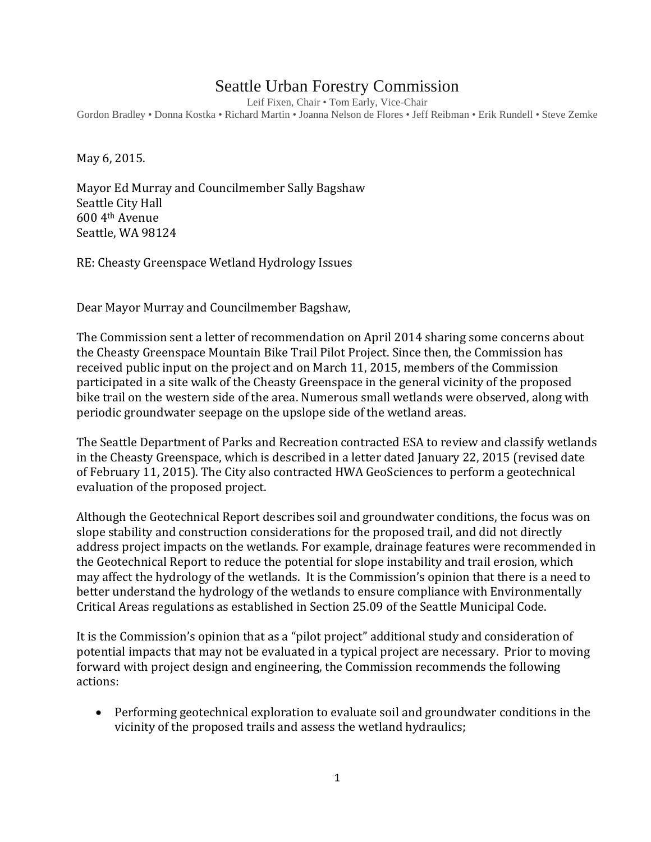## Seattle Urban Forestry Commission

Leif Fixen, Chair • Tom Early, Vice-Chair

Gordon Bradley • Donna Kostka • Richard Martin • Joanna Nelson de Flores • Jeff Reibman • Erik Rundell • Steve Zemke

May 6, 2015.

Mayor Ed Murray and Councilmember Sally Bagshaw Seattle City Hall 600 4th Avenue Seattle, WA 98124

RE: Cheasty Greenspace Wetland Hydrology Issues

Dear Mayor Murray and Councilmember Bagshaw,

The Commission sent a letter of recommendation on April 2014 sharing some concerns about the Cheasty Greenspace Mountain Bike Trail Pilot Project. Since then, the Commission has received public input on the project and on March 11, 2015, members of the Commission participated in a site walk of the Cheasty Greenspace in the general vicinity of the proposed bike trail on the western side of the area. Numerous small wetlands were observed, along with periodic groundwater seepage on the upslope side of the wetland areas.

The Seattle Department of Parks and Recreation contracted ESA to review and classify wetlands in the Cheasty Greenspace, which is described in a letter dated January 22, 2015 (revised date of February 11, 2015). The City also contracted HWA GeoSciences to perform a geotechnical evaluation of the proposed project.

Although the Geotechnical Report describes soil and groundwater conditions, the focus was on slope stability and construction considerations for the proposed trail, and did not directly address project impacts on the wetlands. For example, drainage features were recommended in the Geotechnical Report to reduce the potential for slope instability and trail erosion, which may affect the hydrology of the wetlands. It is the Commission's opinion that there is a need to better understand the hydrology of the wetlands to ensure compliance with Environmentally Critical Areas regulations as established in Section 25.09 of the Seattle Municipal Code.

It is the Commission's opinion that as a "pilot project" additional study and consideration of potential impacts that may not be evaluated in a typical project are necessary. Prior to moving forward with project design and engineering, the Commission recommends the following actions:

• Performing geotechnical exploration to evaluate soil and groundwater conditions in the vicinity of the proposed trails and assess the wetland hydraulics;